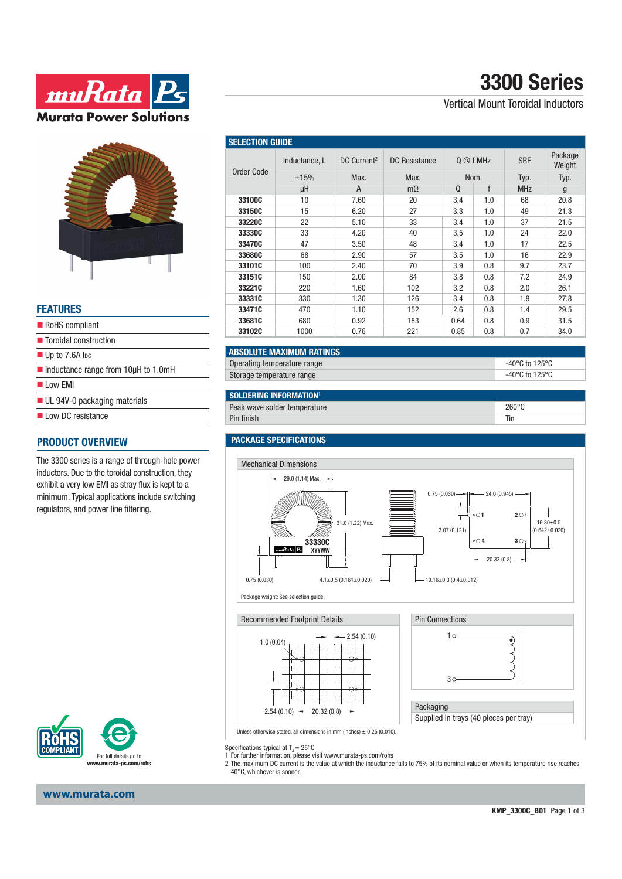



#### **FEATURES**

| RoHS compliant                                             |
|------------------------------------------------------------|
| ■ Toroidal construction                                    |
| $\blacksquare$ Up to 7.6A lpc                              |
| $\blacksquare$ Inductance range from 10 $\upmu$ H to 1.0mH |
| $\blacksquare$ I ow FMI                                    |
| $\blacksquare$ UL 94V-0 packaging materials                |
| Low DC resistance                                          |
| <b>PRODUCT OVERVIEW</b>                                    |
|                                                            |

#### The 3300 series is a range of through-hole power inductors. Due to the toroidal construction, they exhibit a very low EMI as stray flux is kept to a minimum. Typical applications include switching regulators, and power line filtering.



#### **www.murata.com**

## Vertical Mount Toroidal Inductors

| <b>SELECTION GUIDE</b> |               |                         |               |           |     |            |                   |  |  |
|------------------------|---------------|-------------------------|---------------|-----------|-----|------------|-------------------|--|--|
| Order Code             | Inductance, L | DC Current <sup>2</sup> | DC Resistance | $Q@f$ MHz |     | <b>SRF</b> | Package<br>Weight |  |  |
|                        | ±15%          | Max.                    | Max.          | Nom.      |     | Typ.       | Typ.              |  |  |
|                        | μH            | A                       | $m\Omega$     | $\Omega$  | f   | <b>MHz</b> | g                 |  |  |
| 33100C                 | 10            | 7.60                    | 20            | 3.4       | 1.0 | 68         | 20.8              |  |  |
| 33150C                 | 15            | 6.20                    | 27            | 3.3       | 1.0 | 49         | 21.3              |  |  |
| 33220C                 | 22            | 5.10                    | 33            | 3.4       | 1.0 | 37         | 21.5              |  |  |
| 33330C                 | 33            | 4.20                    | 40            | 3.5       | 1.0 | 24         | 22.0              |  |  |
| 33470C                 | 47            | 3.50                    | 48            | 3.4       | 1.0 | 17         | 22.5              |  |  |
| 33680C                 | 68            | 2.90                    | 57            | 3.5       | 1.0 | 16         | 22.9              |  |  |
| 33101C                 | 100           | 2.40                    | 70            | 3.9       | 0.8 | 9.7        | 23.7              |  |  |
| 33151C                 | 150           | 2.00                    | 84            | 3.8       | 0.8 | 7.2        | 24.9              |  |  |
| 33221C                 | 220           | 1.60                    | 102           | 3.2       | 0.8 | 2.0        | 26.1              |  |  |
| 33331C                 | 330           | 1.30                    | 126           | 3.4       | 0.8 | 1.9        | 27.8              |  |  |
| 33471C                 | 470           | 1.10                    | 152           | 2.6       | 0.8 | 1.4        | 29.5              |  |  |
| 33681C                 | 680           | 0.92                    | 183           | 0.64      | 0.8 | 0.9        | 31.5              |  |  |
| 33102C                 | 1000          | 0.76                    | 221           | 0.85      | 0.8 | 0.7        | 34.0              |  |  |

## **ABSOLUTE MAXIMUM RATINGS**

| Operating temperature range | -40°C to 125°C |
|-----------------------------|----------------|
| Storage temperature range   | -40°C to 125°C |

### **SOLDERING INFORMATION1**

| Peak wave solder temperature |      |  |  |  |
|------------------------------|------|--|--|--|
|                              | l ın |  |  |  |
|                              |      |  |  |  |

#### **PACKAGE SPECIFICATIONS**



Specifications typical at  $T_a = 25^{\circ}$ C

- 1 For further information, please visit www.murata-ps.com/rohs
- 2 The maximum DC current is the value at which the inductance falls to 75% of its nominal value or when its temperature rise reaches 40°C, whichever is sooner.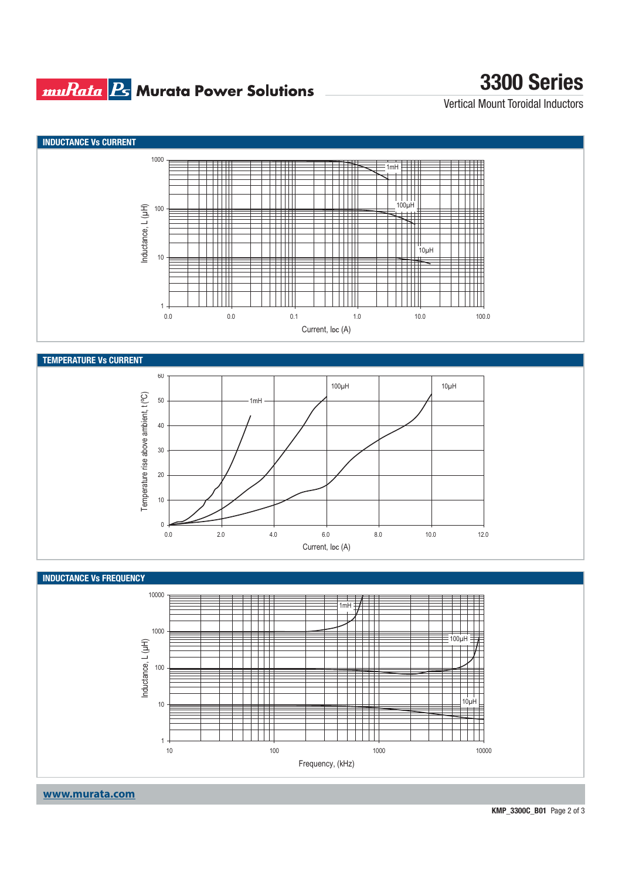## **muRata Bs** Murata Power Solutions

# **3300 Series**

Vertical Mount Toroidal Inductors







**www.murata.com**